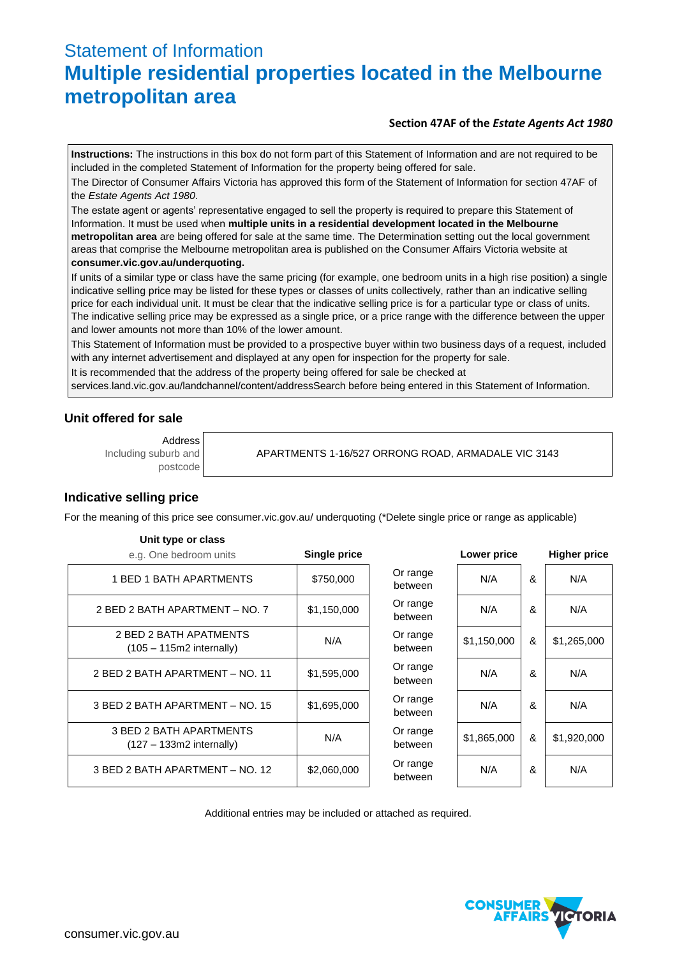# Statement of Information **Multiple residential properties located in the Melbourne metropolitan area**

#### **Section 47AF of the** *Estate Agents Act 1980*

**Instructions:** The instructions in this box do not form part of this Statement of Information and are not required to be included in the completed Statement of Information for the property being offered for sale.

The Director of Consumer Affairs Victoria has approved this form of the Statement of Information for section 47AF of the *Estate Agents Act 1980*.

The estate agent or agents' representative engaged to sell the property is required to prepare this Statement of Information. It must be used when **multiple units in a residential development located in the Melbourne metropolitan area** are being offered for sale at the same time. The Determination setting out the local government areas that comprise the Melbourne metropolitan area is published on the Consumer Affairs Victoria website at **consumer.vic.gov.au/underquoting.**

If units of a similar type or class have the same pricing (for example, one bedroom units in a high rise position) a single indicative selling price may be listed for these types or classes of units collectively, rather than an indicative selling price for each individual unit. It must be clear that the indicative selling price is for a particular type or class of units. The indicative selling price may be expressed as a single price, or a price range with the difference between the upper and lower amounts not more than 10% of the lower amount.

This Statement of Information must be provided to a prospective buyer within two business days of a request, included with any internet advertisement and displayed at any open for inspection for the property for sale.

It is recommended that the address of the property being offered for sale be checked at

services.land.vic.gov.au/landchannel/content/addressSearch before being entered in this Statement of Information.

## **Unit offered for sale**

Address Including suburb and postcode

**Unit type or class**

APARTMENTS 1-16/527 ORRONG ROAD, ARMADALE VIC 3143

## **Indicative selling price**

For the meaning of this price see consumer.vic.gov.au/ underquoting (\*Delete single price or range as applicable)

| <b>PHILLIPS</b> OF SHOP<br>e.g. One bedroom units     | Single price |                     | Lower price |   | <b>Higher price</b> |
|-------------------------------------------------------|--------------|---------------------|-------------|---|---------------------|
| 1 BED 1 BATH APARTMENTS                               | \$750,000    | Or range<br>between | N/A         | & | N/A                 |
| 2 BED 2 BATH APARTMENT - NO. 7                        | \$1,150,000  | Or range<br>between | N/A         | & | N/A                 |
| 2 BED 2 BATH APATMENTS<br>$(105 - 115m2$ internally)  | N/A          | Or range<br>between | \$1,150,000 | & | \$1,265,000         |
| 2 BED 2 BATH APARTMENT - NO. 11                       | \$1,595,000  | Or range<br>between | N/A         | & | N/A                 |
| 3 BED 2 BATH APARTMENT - NO. 15                       | \$1,695,000  | Or range<br>between | N/A         | & | N/A                 |
| 3 BED 2 BATH APARTMENTS<br>$(127 - 133m2$ internally) | N/A          | Or range<br>between | \$1,865,000 | & | \$1,920,000         |
| 3 BED 2 BATH APARTMENT - NO. 12                       | \$2,060,000  | Or range<br>between | N/A         | & | N/A                 |

Additional entries may be included or attached as required.

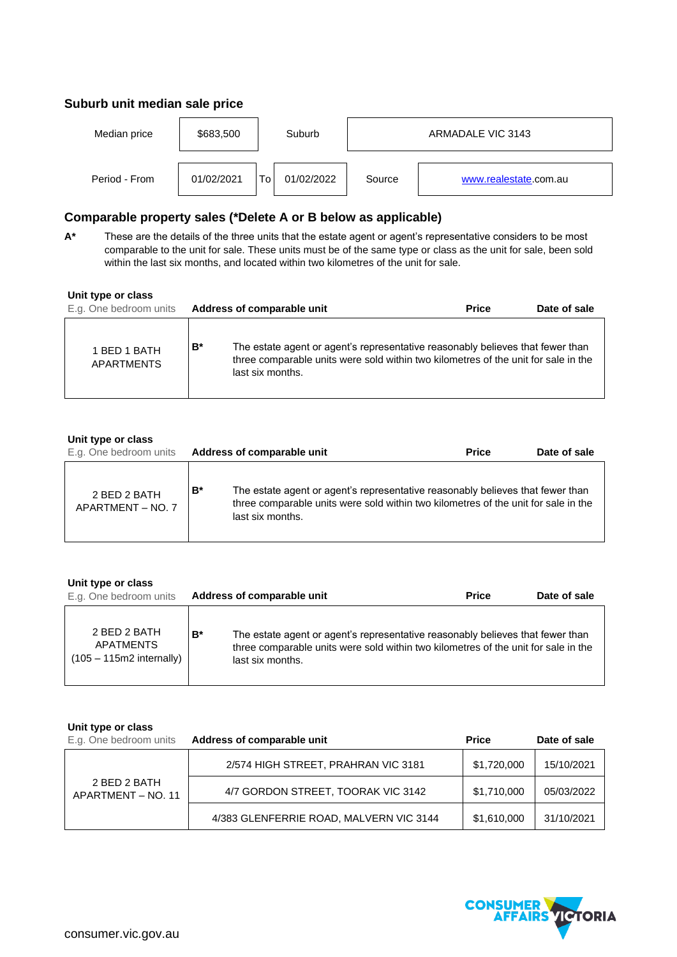# **Suburb unit median sale price**

| Median price  | \$683,500  | Suburb            | ARMADALE VIC 3143 |                       |  |
|---------------|------------|-------------------|-------------------|-----------------------|--|
| Period - From | 01/02/2021 | 01/02/2022<br>Τo. | Source            | www.realestate.com.au |  |

# **Comparable property sales (\*Delete A or B below as applicable)**

**A\*** These are the details of the three units that the estate agent or agent's representative considers to be most comparable to the unit for sale. These units must be of the same type or class as the unit for sale, been sold within the last six months, and located within two kilometres of the unit for sale.

| Unit type or class<br>E.g. One bedroom units |    | Address of comparable unit                                                                                                                                                               | <b>Price</b> | Date of sale |
|----------------------------------------------|----|------------------------------------------------------------------------------------------------------------------------------------------------------------------------------------------|--------------|--------------|
| 1 BED 1 BATH<br><b>APARTMENTS</b>            | B* | The estate agent or agent's representative reasonably believes that fewer than<br>three comparable units were sold within two kilometres of the unit for sale in the<br>last six months. |              |              |

## **Unit type or class**

| E.g. One bedroom units            |    | Address of comparable unit                                                                                                                                                               | <b>Price</b> | Date of sale |
|-----------------------------------|----|------------------------------------------------------------------------------------------------------------------------------------------------------------------------------------------|--------------|--------------|
| 2 BED 2 BATH<br>APARTMENT - NO. 7 | B* | The estate agent or agent's representative reasonably believes that fewer than<br>three comparable units were sold within two kilometres of the unit for sale in the<br>last six months. |              |              |

|  |  |  | Unit type or class |
|--|--|--|--------------------|
|--|--|--|--------------------|

| E.g. One bedroom units                                         |       | Address of comparable unit                                                                                                                                                               | <b>Price</b> | Date of sale |
|----------------------------------------------------------------|-------|------------------------------------------------------------------------------------------------------------------------------------------------------------------------------------------|--------------|--------------|
| 2 BED 2 BATH<br><b>APATMENTS</b><br>$(105 - 115m2$ internally) | $B^*$ | The estate agent or agent's representative reasonably believes that fewer than<br>three comparable units were sold within two kilometres of the unit for sale in the<br>last six months. |              |              |

#### **Unit type or class**

| E.g. One bedroom units             | Address of comparable unit              | <b>Price</b> | Date of sale |
|------------------------------------|-----------------------------------------|--------------|--------------|
| 2 BED 2 BATH<br>APARTMENT - NO. 11 | 2/574 HIGH STREET, PRAHRAN VIC 3181     | \$1,720,000  | 15/10/2021   |
|                                    | 4/7 GORDON STREET, TOORAK VIC 3142      | \$1,710,000  | 05/03/2022   |
|                                    | 4/383 GLENFERRIE ROAD, MALVERN VIC 3144 | \$1,610,000  | 31/10/2021   |